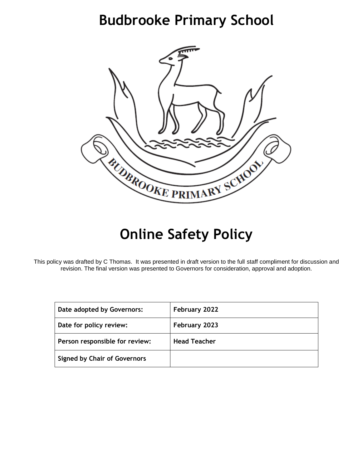# **Budbrooke Primary School**



# **Online Safety Policy**

This policy was drafted by C Thomas. It was presented in draft version to the full staff compliment for discussion and revision. The final version was presented to Governors for consideration, approval and adoption.

| Date adopted by Governors:          | February 2022       |
|-------------------------------------|---------------------|
| Date for policy review:             | February 2023       |
| Person responsible for review:      | <b>Head Teacher</b> |
| <b>Signed by Chair of Governors</b> |                     |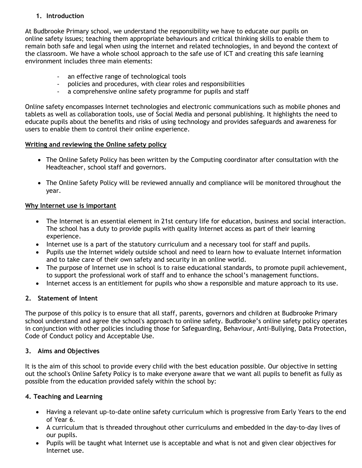# **1. Introduction**

At Budbrooke Primary school, we understand the responsibility we have to educate our pupils on online safety issues; teaching them appropriate behaviours and critical thinking skills to enable them to remain both safe and legal when using the internet and related technologies, in and beyond the context of the classroom. We have a whole school approach to the safe use of ICT and creating this safe learning environment includes three main elements:

- an effective range of technological tools
- policies and procedures, with clear roles and responsibilities
- a comprehensive online safety programme for pupils and staff

Online safety encompasses Internet technologies and electronic communications such as mobile phones and tablets as well as collaboration tools, use of Social Media and personal publishing. It highlights the need to educate pupils about the benefits and risks of using technology and provides safeguards and awareness for users to enable them to control their online experience.

## **Writing and reviewing the Online safety policy**

- The Online Safety Policy has been written by the Computing coordinator after consultation with the Headteacher, school staff and governors.
- The Online Safety Policy will be reviewed annually and compliance will be monitored throughout the year.

## **Why Internet use is important**

- The Internet is an essential element in 21st century life for education, business and social interaction. The school has a duty to provide pupils with quality Internet access as part of their learning experience.
- Internet use is a part of the statutory curriculum and a necessary tool for staff and pupils.
- Pupils use the Internet widely outside school and need to learn how to evaluate Internet information and to take care of their own safety and security in an online world.
- The purpose of Internet use in school is to raise educational standards, to promote pupil achievement, to support the professional work of staff and to enhance the school's management functions.
- Internet access is an entitlement for pupils who show a responsible and mature approach to its use.

# **2. Statement of Intent**

The purpose of this policy is to ensure that all staff, parents, governors and children at Budbrooke Primary school understand and agree the school's approach to online safety. Budbrooke's online safety policy operates in conjunction with other policies including those for Safeguarding, Behaviour, Anti-Bullying, Data Protection, Code of Conduct policy and Acceptable Use.

## **3. Aims and Objectives**

It is the aim of this school to provide every child with the best education possible. Our objective in setting out the school's Online Safety Policy is to make everyone aware that we want all pupils to benefit as fully as possible from the education provided safely within the school by:

## **4. Teaching and Learning**

- Having a relevant up-to-date online safety curriculum which is progressive from Early Years to the end of Year 6.
- A curriculum that is threaded throughout other curriculums and embedded in the day-to-day lives of our pupils.
- Pupils will be taught what Internet use is acceptable and what is not and given clear objectives for Internet use.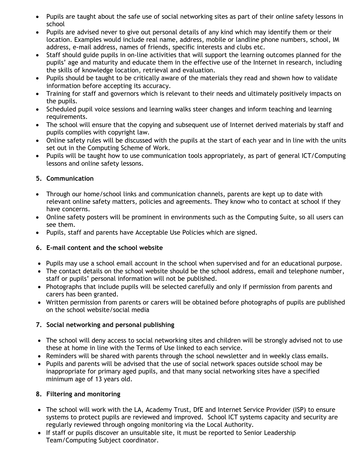- Pupils are taught about the safe use of social networking sites as part of their online safety lessons in school
- Pupils are advised never to give out personal details of any kind which may identify them or their location. Examples would include real name, address, mobile or landline phone numbers, school, IM address, e-mail address, names of friends, specific interests and clubs etc.
- Staff should guide pupils in on-line activities that will support the learning outcomes planned for the pupils' age and maturity and educate them in the effective use of the Internet in research, including the skills of knowledge location, retrieval and evaluation.
- Pupils should be taught to be critically aware of the materials they read and shown how to validate information before accepting its accuracy.
- Training for staff and governors which is relevant to their needs and ultimately positively impacts on the pupils.
- Scheduled pupil voice sessions and learning walks steer changes and inform teaching and learning requirements.
- The school will ensure that the copying and subsequent use of Internet derived materials by staff and pupils complies with copyright law.
- Online safety rules will be discussed with the pupils at the start of each year and in line with the units set out in the Computing Scheme of Work.
- Pupils will be taught how to use communication tools appropriately, as part of general ICT/Computing lessons and online safety lessons.

## **5. Communication**

- Through our home/school links and communication channels, parents are kept up to date with relevant online safety matters, policies and agreements. They know who to contact at school if they have concerns.
- Online safety posters will be prominent in environments such as the Computing Suite, so all users can see them.
- Pupils, staff and parents have Acceptable Use Policies which are signed.

# **6. E-mail content and the school website**

- Pupils may use a school email account in the school when supervised and for an educational purpose.
- The contact details on the school website should be the school address, email and telephone number, staff or pupils' personal information will not be published.
- Photographs that include pupils will be selected carefully and only if permission from parents and carers has been granted.
- Written permission from parents or carers will be obtained before photographs of pupils are published on the school website/social media

## **7. Social networking and personal publishing**

- The school will deny access to social networking sites and children will be strongly advised not to use these at home in line with the Terms of Use linked to each service.
- Reminders will be shared with parents through the school newsletter and in weekly class emails.
- Pupils and parents will be advised that the use of social network spaces outside school may be inappropriate for primary aged pupils, and that many social networking sites have a specified minimum age of 13 years old.

## **8. Filtering and monitoring**

- The school will work with the LA, Academy Trust, DfE and Internet Service Provider (ISP) to ensure systems to protect pupils are reviewed and improved. School ICT systems capacity and security are regularly reviewed through ongoing monitoring via the Local Authority.
- If staff or pupils discover an unsuitable site, it must be reported to Senior Leadership Team/Computing Subject coordinator.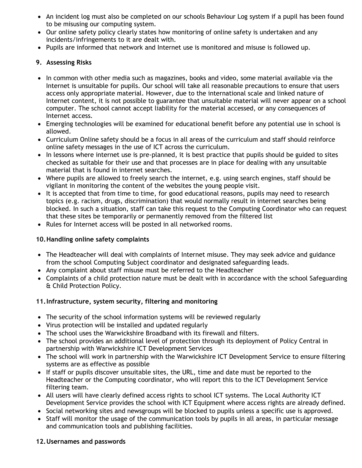- An incident log must also be completed on our schools Behaviour Log system if a pupil has been found to be misusing our computing system.
- Our online safety policy clearly states how monitoring of online safety is undertaken and any incidents/infringements to it are dealt with.
- Pupils are informed that network and Internet use is monitored and misuse is followed up.

## **9. Assessing Risks**

- In common with other media such as magazines, books and video, some material available via the Internet is unsuitable for pupils. Our school will take all reasonable precautions to ensure that users access only appropriate material. However, due to the international scale and linked nature of Internet content, it is not possible to guarantee that unsuitable material will never appear on a school computer. The school cannot accept liability for the material accessed, or any consequences of Internet access.
- Emerging technologies will be examined for educational benefit before any potential use in school is allowed.
- Curriculum Online safety should be a focus in all areas of the curriculum and staff should reinforce online safety messages in the use of ICT across the curriculum.
- In lessons where internet use is pre-planned, it is best practice that pupils should be guided to sites checked as suitable for their use and that processes are in place for dealing with any unsuitable material that is found in internet searches.
- Where pupils are allowed to freely search the internet, e.g. using search engines, staff should be vigilant in monitoring the content of the websites the young people visit.
- It is accepted that from time to time, for good educational reasons, pupils may need to research topics (e.g. racism, drugs, discrimination) that would normally result in internet searches being blocked. In such a situation, staff can take this request to the Computing Coordinator who can request that these sites be temporarily or permanently removed from the filtered list
- Rules for Internet access will be posted in all networked rooms.

## **10.Handling online safety complaints**

- The Headteacher will deal with complaints of Internet misuse. They may seek advice and guidance from the school Computing Subject coordinator and designated safeguarding leads.
- Any complaint about staff misuse must be referred to the Headteacher
- Complaints of a child protection nature must be dealt with in accordance with the school Safeguarding & Child Protection Policy.

## **11.Infrastructure, system security, filtering and monitoring**

- The security of the school information systems will be reviewed regularly
- Virus protection will be installed and updated regularly
- The school uses the Warwickshire Broadband with its firewall and filters.
- The school provides an additional level of protection through its deployment of Policy Central in partnership with Warwickshire ICT Development Services
- The school will work in partnership with the Warwickshire ICT Development Service to ensure filtering systems are as effective as possible
- If staff or pupils discover unsuitable sites, the URL, time and date must be reported to the Headteacher or the Computing coordinator, who will report this to the ICT Development Service filtering team.
- All users will have clearly defined access rights to school ICT systems. The Local Authority ICT Development Service provides the school with ICT Equipment where access rights are already defined.
- Social networking sites and newsgroups will be blocked to pupils unless a specific use is approved.
- Staff will monitor the usage of the communication tools by pupils in all areas, in particular message and communication tools and publishing facilities.

## **12.Usernames and passwords**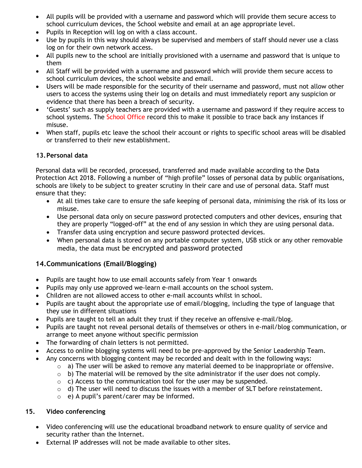- All pupils will be provided with a username and password which will provide them secure access to school curriculum devices, the School website and email at an age appropriate level.
- Pupils in Reception will log on with a class account.
- Use by pupils in this way should always be supervised and members of staff should never use a class log on for their own network access.
- All pupils new to the school are initially provisioned with a username and password that is unique to them
- All Staff will be provided with a username and password which will provide them secure access to school curriculum devices, the school website and email.
- Users will be made responsible for the security of their username and password, must not allow other users to access the systems using their log on details and must immediately report any suspicion or evidence that there has been a breach of security.
- 'Guests' such as supply teachers are provided with a username and password if they require access to school systems. The School Office record this to make it possible to trace back any instances if misuse.
- When staff, pupils etc leave the school their account or rights to specific school areas will be disabled or transferred to their new establishment.

## **13.Personal data**

Personal data will be recorded, processed, transferred and made available according to the Data Protection Act 2018. Following a number of "high profile" losses of personal data by public organisations, schools are likely to be subject to greater scrutiny in their care and use of personal data. Staff must ensure that they:

- At all times take care to ensure the safe keeping of personal data, minimising the risk of its loss or misuse.
- Use personal data only on secure password protected computers and other devices, ensuring that they are properly "logged-off" at the end of any session in which they are using personal data.
- Transfer data using encryption and secure password protected devices.
- When personal data is stored on any portable computer system, USB stick or any other removable media, the data must be encrypted and password protected

# **14.Communications (Email/Blogging)**

- Pupils are taught how to use email accounts safely from Year 1 onwards
- Pupils may only use approved we-learn e-mail accounts on the school system.
- Children are not allowed access to other e-mail accounts whilst in school.
- Pupils are taught about the appropriate use of email/blogging, including the type of language that they use in different situations
- Pupils are taught to tell an adult they trust if they receive an offensive e-mail/blog.
- Pupils are taught not reveal personal details of themselves or others in e-mail/blog communication, or arrange to meet anyone without specific permission
- The forwarding of chain letters is not permitted.
- Access to online blogging systems will need to be pre-approved by the Senior Leadership Team.
- Any concerns with blogging content may be recorded and dealt with in the following ways:
	- $\circ$  a) The user will be asked to remove any material deemed to be inappropriate or offensive.
	- $\circ$  b) The material will be removed by the site administrator if the user does not comply.
	- $\circ$  c) Access to the communication tool for the user may be suspended.
	- $\circ$  d) The user will need to discuss the issues with a member of SLT before reinstatement.
	- o e) A pupil's parent/carer may be informed.

## **15. Video conferencing**

- Video conferencing will use the educational broadband network to ensure quality of service and security rather than the Internet.
- External IP addresses will not be made available to other sites.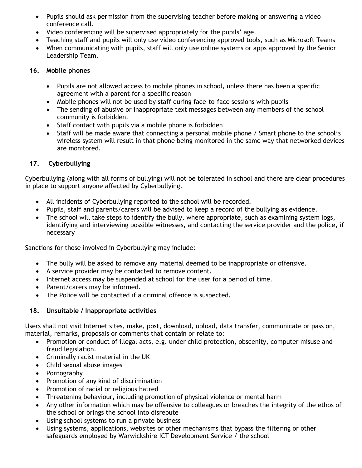- Pupils should ask permission from the supervising teacher before making or answering a video conference call.
- Video conferencing will be supervised appropriately for the pupils' age.
- Teaching staff and pupils will only use video conferencing approved tools, such as Microsoft Teams
- When communicating with pupils, staff will only use online systems or apps approved by the Senior Leadership Team.

## **16. Mobile phones**

- Pupils are not allowed access to mobile phones in school, unless there has been a specific agreement with a parent for a specific reason
- Mobile phones will not be used by staff during face-to-face sessions with pupils
- The sending of abusive or inappropriate text messages between any members of the school community is forbidden.
- Staff contact with pupils via a mobile phone is forbidden
- Staff will be made aware that connecting a personal mobile phone / Smart phone to the school's wireless system will result in that phone being monitored in the same way that networked devices are monitored.

# **17. Cyberbullying**

Cyberbullying (along with all forms of bullying) will not be tolerated in school and there are clear procedures in place to support anyone affected by Cyberbullying.

- All incidents of Cyberbullying reported to the school will be recorded.
- Pupils, staff and parents/carers will be advised to keep a record of the bullying as evidence.
- The school will take steps to identify the bully, where appropriate, such as examining system logs, identifying and interviewing possible witnesses, and contacting the service provider and the police, if necessary

Sanctions for those involved in Cyberbullying may include:

- The bully will be asked to remove any material deemed to be inappropriate or offensive.
- A service provider may be contacted to remove content.
- Internet access may be suspended at school for the user for a period of time.
- Parent/carers may be informed.
- The Police will be contacted if a criminal offence is suspected.

# **18. Unsuitable / Inappropriate activities**

Users shall not visit Internet sites, make, post, download, upload, data transfer, communicate or pass on, material, remarks, proposals or comments that contain or relate to:

- Promotion or conduct of illegal acts, e.g. under child protection, obscenity, computer misuse and fraud legislation.
- Criminally racist material in the UK
- Child sexual abuse images
- Pornography
- Promotion of any kind of discrimination
- Promotion of racial or religious hatred
- Threatening behaviour, including promotion of physical violence or mental harm
- Any other information which may be offensive to colleagues or breaches the integrity of the ethos of the school or brings the school into disrepute
- Using school systems to run a private business
- Using systems, applications, websites or other mechanisms that bypass the filtering or other safeguards employed by Warwickshire ICT Development Service / the school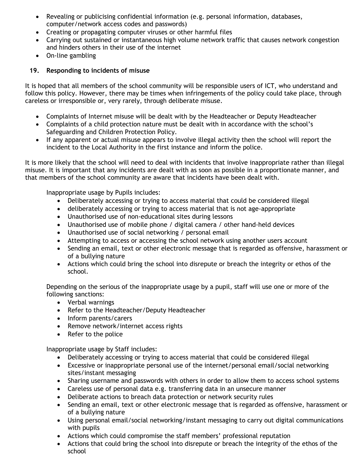- Revealing or publicising confidential information (e.g. personal information, databases, computer/network access codes and passwords)
- Creating or propagating computer viruses or other harmful files
- Carrying out sustained or instantaneous high volume network traffic that causes network congestion and hinders others in their use of the internet
- On-line gambling

## **19. Responding to incidents of misuse**

It is hoped that all members of the school community will be responsible users of ICT, who understand and follow this policy. However, there may be times when infringements of the policy could take place, through careless or irresponsible or, very rarely, through deliberate misuse.

- Complaints of Internet misuse will be dealt with by the Headteacher or Deputy Headteacher
- Complaints of a child protection nature must be dealt with in accordance with the school's Safeguarding and Children Protection Policy.
- If any apparent or actual misuse appears to involve illegal activity then the school will report the incident to the Local Authority in the first instance and inform the police.

It is more likely that the school will need to deal with incidents that involve inappropriate rather than illegal misuse. It is important that any incidents are dealt with as soon as possible in a proportionate manner, and that members of the school community are aware that incidents have been dealt with.

Inappropriate usage by Pupils includes:

- Deliberately accessing or trying to access material that could be considered illegal
- deliberately accessing or trying to access material that is not age-appropriate
- Unauthorised use of non-educational sites during lessons
- Unauthorised use of mobile phone / digital camera / other hand-held devices
- Unauthorised use of social networking / personal email
- Attempting to access or accessing the school network using another users account
- Sending an email, text or other electronic message that is regarded as offensive, harassment or of a bullying nature
- Actions which could bring the school into disrepute or breach the integrity or ethos of the school.

Depending on the serious of the inappropriate usage by a pupil, staff will use one or more of the following sanctions:

- Verbal warnings
- Refer to the Headteacher/Deputy Headteacher
- Inform parents/carers
- Remove network/internet access rights
- Refer to the police

Inappropriate usage by Staff includes:

- Deliberately accessing or trying to access material that could be considered illegal
- Excessive or inappropriate personal use of the internet/personal email/social networking sites/instant messaging
- Sharing username and passwords with others in order to allow them to access school systems
- Careless use of personal data e.g. transferring data in an unsecure manner
- Deliberate actions to breach data protection or network security rules
- Sending an email, text or other electronic message that is regarded as offensive, harassment or of a bullying nature
- Using personal email/social networking/instant messaging to carry out digital communications with pupils
- Actions which could compromise the staff members' professional reputation
- Actions that could bring the school into disrepute or breach the integrity of the ethos of the school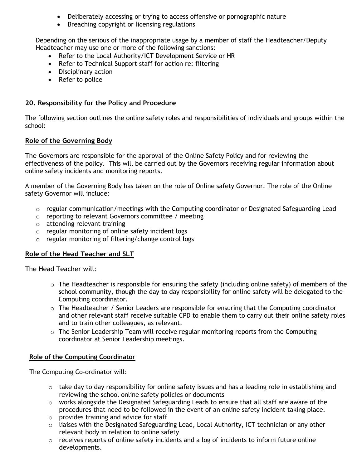- Deliberately accessing or trying to access offensive or pornographic nature
- Breaching copyright or licensing regulations

Depending on the serious of the inappropriate usage by a member of staff the Headteacher/Deputy Headteacher may use one or more of the following sanctions:

- Refer to the Local Authority/ICT Development Service or HR
- Refer to Technical Support staff for action re: filtering
- Disciplinary action
- Refer to police

#### **20. Responsibility for the Policy and Procedure**

The following section outlines the online safety roles and responsibilities of individuals and groups within the school:

#### **Role of the Governing Body**

The Governors are responsible for the approval of the Online Safety Policy and for reviewing the effectiveness of the policy. This will be carried out by the Governors receiving regular information about online safety incidents and monitoring reports.

A member of the Governing Body has taken on the role of Online safety Governor. The role of the Online safety Governor will include:

- $\circ$  regular communication/meetings with the Computing coordinator or Designated Safeguarding Lead
- o reporting to relevant Governors committee / meeting
- o attending relevant training
- $\circ$  regular monitoring of online safety incident logs
- o regular monitoring of filtering/change control logs

#### **Role of the Head Teacher and SLT**

The Head Teacher will:

- $\circ$  The Headteacher is responsible for ensuring the safety (including online safety) of members of the school community, though the day to day responsibility for online safety will be delegated to the Computing coordinator.
- o The Headteacher / Senior Leaders are responsible for ensuring that the Computing coordinator and other relevant staff receive suitable CPD to enable them to carry out their online safety roles and to train other colleagues, as relevant.
- $\circ$  The Senior Leadership Team will receive regular monitoring reports from the Computing coordinator at Senior Leadership meetings.

#### **Role of the Computing Coordinator**

The Computing Co-ordinator will:

- $\circ$  take day to day responsibility for online safety issues and has a leading role in establishing and reviewing the school online safety policies or documents
- $\circ$  works alongside the Designated Safeguarding Leads to ensure that all staff are aware of the procedures that need to be followed in the event of an online safety incident taking place.
- o provides training and advice for staff
- o liaises with the Designated Safeguarding Lead, Local Authority, ICT technician or any other relevant body in relation to online safety
- $\circ$  receives reports of online safety incidents and a log of incidents to inform future online developments.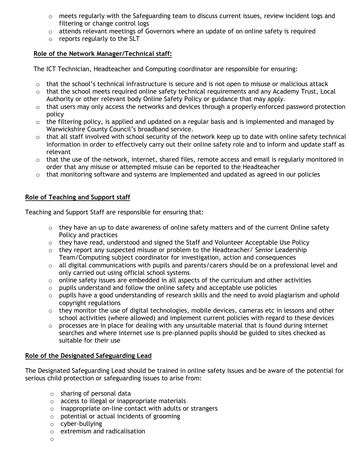- o meets regularly with the Safeguarding team to discuss current issues, review incident logs and filtering or change control logs
- $\circ$  attends relevant meetings of Governors where an update of on online safety is required
- $\circ$  reports regularly to the SLT

## **Role of the Network Manager/Technical staff:**

The ICT Technician, Headteacher and Computing coordinator are responsible for ensuring:

- $\circ$  that the school's technical infrastructure is secure and is not open to misuse or malicious attack
- $\circ$  that the school meets required online safety technical requirements and any Academy Trust, Local Authority or other relevant body Online Safety Policy or guidance that may apply.
- $\circ$  that users may only access the networks and devices through a properly enforced password protection policy
- $\circ$  the filtering policy, is applied and updated on a regular basis and is implemented and managed by Warwickshire County Council's broadband service.
- $\circ$  that all staff involved with school security of the network keep up to date with online safety technical information in order to effectively carry out their online safety role and to inform and update staff as relevant
- o that the use of the network, internet, shared files, remote access and email is regularly monitored in order that any misuse or attempted misuse can be reported to the Headteacher
- $\circ$  that monitoring software and systems are implemented and updated as agreed in our policies

# **Role of Teaching and Support staff**

Teaching and Support Staff are responsible for ensuring that:

- $\circ$  they have an up to date awareness of online safety matters and of the current Online safety Policy and practices
- $\circ$  they have read, understood and signed the Staff and Volunteer Acceptable Use Policy
- $\circ$  they report any suspected misuse or problem to the Headteacher/ Senior Leadership Team/Computing subject coordinator for investigation, action and consequences
- $\circ$  all digital communications with pupils and parents/carers should be on a professional level and only carried out using official school systems
- $\circ$  online safety issues are embedded in all aspects of the curriculum and other activities
- $\circ$  pupils understand and follow the online safety and acceptable use policies
- o pupils have a good understanding of research skills and the need to avoid plagiarism and uphold copyright regulations
- $\circ$  they monitor the use of digital technologies, mobile devices, cameras etc in lessons and other school activities (where allowed) and implement current policies with regard to these devices
- $\circ$  processes are in place for dealing with any unsuitable material that is found during internet searches and where internet use is pre-planned pupils should be guided to sites checked as suitable for their use

# **Role of the Designated Safeguarding Lead**

The Designated Safeguarding Lead should be trained in online safety issues and be aware of the potential for serious child protection or safeguarding issues to arise from:

- o sharing of personal data
- o access to illegal or inappropriate materials
- o inappropriate on-line contact with adults or strangers
- o potential or actual incidents of grooming
- o cyber-bullying
- o extremism and radicalisation
- o